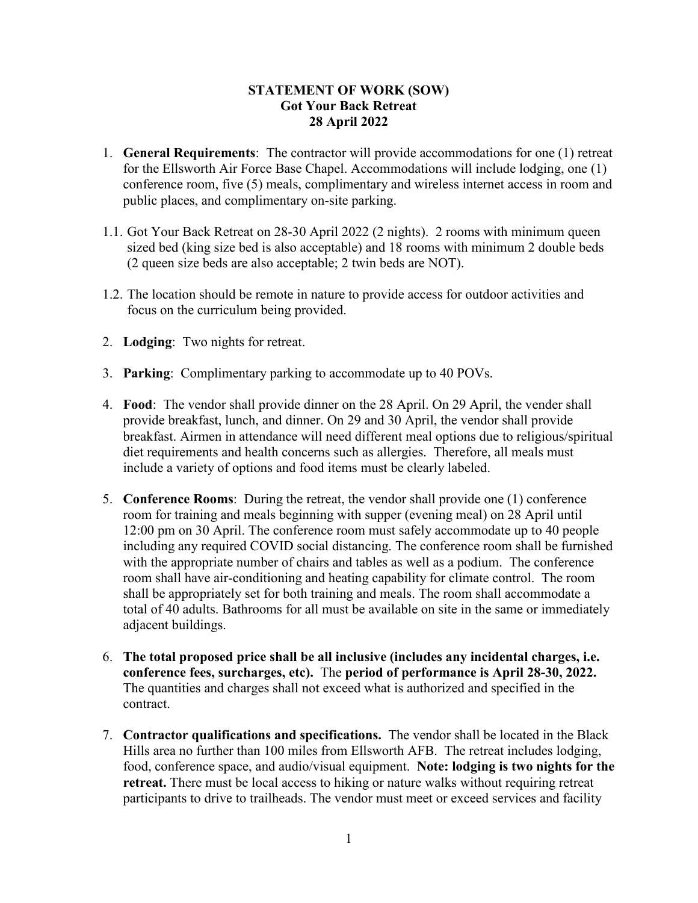## **STATEMENT OF WORK (SOW) Got Your Back Retreat 28 April 2022**

- 1. **General Requirements**:The contractor will provide accommodations for one (1) retreat for the Ellsworth Air Force Base Chapel. Accommodations will include lodging, one (1) conference room, five (5) meals, complimentary and wireless internet access in room and public places, and complimentary on-site parking.
- 1.1. Got Your Back Retreat on 28-30 April 2022 (2 nights). 2 rooms with minimum queen sized bed (king size bed is also acceptable) and 18 rooms with minimum 2 double beds (2 queen size beds are also acceptable; 2 twin beds are NOT).
- 1.2. The location should be remote in nature to provide access for outdoor activities and focus on the curriculum being provided.
- 2. **Lodging**: Two nights for retreat.
- 3. **Parking**: Complimentary parking to accommodate up to 40 POVs.
- 4. **Food**: The vendor shall provide dinner on the 28 April. On 29 April, the vender shall provide breakfast, lunch, and dinner. On 29 and 30 April, the vendor shall provide breakfast. Airmen in attendance will need different meal options due to religious/spiritual diet requirements and health concerns such as allergies. Therefore, all meals must include a variety of options and food items must be clearly labeled.
- 5. **Conference Rooms**: During the retreat, the vendor shall provide one (1) conference room for training and meals beginning with supper (evening meal) on 28 April until 12:00 pm on 30 April. The conference room must safely accommodate up to 40 people including any required COVID social distancing. The conference room shall be furnished with the appropriate number of chairs and tables as well as a podium. The conference room shall have air-conditioning and heating capability for climate control. The room shall be appropriately set for both training and meals. The room shall accommodate a total of 40 adults. Bathrooms for all must be available on site in the same or immediately adjacent buildings.
- 6. **The total proposed price shall be all inclusive (includes any incidental charges, i.e. conference fees, surcharges, etc).** The **period of performance is April 28-30, 2022.**  The quantities and charges shall not exceed what is authorized and specified in the contract.
- 7. **Contractor qualifications and specifications.** The vendor shall be located in the Black Hills area no further than 100 miles from Ellsworth AFB. The retreat includes lodging, food, conference space, and audio/visual equipment. **Note: lodging is two nights for the retreat.** There must be local access to hiking or nature walks without requiring retreat participants to drive to trailheads. The vendor must meet or exceed services and facility